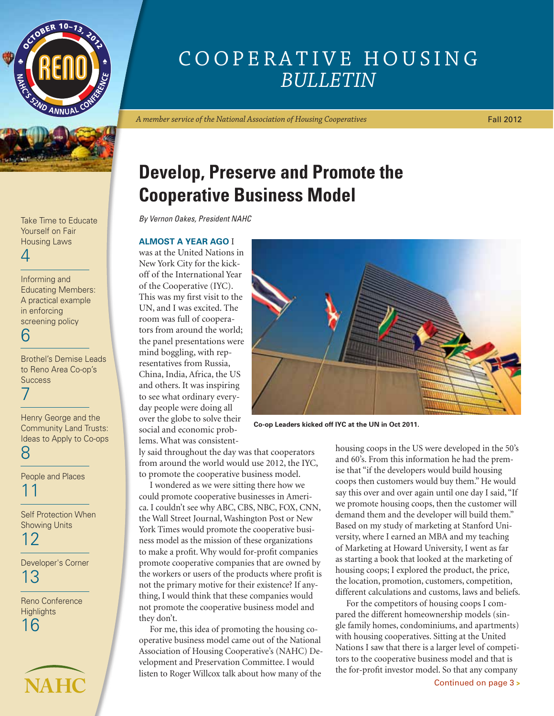



Yourself on Fair Housing Laws

## 4

Informing and Educating Members: A practical example in enforcing screening policy 6

Brothel's Demise Leads to Reno Area Co-op's **Success** 7

Henry George and the Community Land Trusts: Ideas to Apply to Co-ops 8

People and Places 11

Self Protection When Showing Units

12

Developer's Corner 13

Reno Conference **Highlights** 16



# Cooperative Housing *Bulletin*

*A member service of the National Association of Housing Cooperatives*

Fall 2012

# **Develop, Preserve and Promote the Cooperative Business Model**

Take Time to Educate *By Vernon Oakes, President NAHC*

#### **Almost a year ago** I

was at the United Nations in New York City for the kickoff of the International Year of the Cooperative (IYC). This was my first visit to the UN, and I was excited. The room was full of cooperators from around the world; the panel presentations were mind boggling, with representatives from Russia, China, India, Africa, the US and others. It was inspiring to see what ordinary everyday people were doing all over the globe to solve their social and economic problems. What was consistent-

ly said throughout the day was that cooperators from around the world would use 2012, the IYC, to promote the cooperative business model.

I wondered as we were sitting there how we could promote cooperative businesses in America. I couldn't see why ABC, CBS, NBC, FOX, CNN, the Wall Street Journal, Washington Post or New York Times would promote the cooperative business model as the mission of these organizations to make a profit. Why would for-profit companies promote cooperative companies that are owned by the workers or users of the products where profit is not the primary motive for their existence? If anything, I would think that these companies would not promote the cooperative business model and they don't.

For me, this idea of promoting the housing cooperative business model came out of the National Association of Housing Cooperative's (NAHC) Development and Preservation Committee. I would listen to Roger Willcox talk about how many of the



**Co-op Leaders kicked off IYC at the UN in Oct 2011.**

housing coops in the US were developed in the 50's and 60's. From this information he had the premise that "if the developers would build housing coops then customers would buy them." He would say this over and over again until one day I said, "If we promote housing coops, then the customer will demand them and the developer will build them." Based on my study of marketing at Stanford University, where I earned an MBA and my teaching of Marketing at Howard University, I went as far as starting a book that looked at the marketing of housing coops; I explored the product, the price, the location, promotion, customers, competition, different calculations and customs, laws and beliefs.

For the competitors of housing coops I compared the different homeownership models (single family homes, condominiums, and apartments) with housing cooperatives. Sitting at the United Nations I saw that there is a larger level of competitors to the cooperative business model and that is the for-profit investor model. So that any company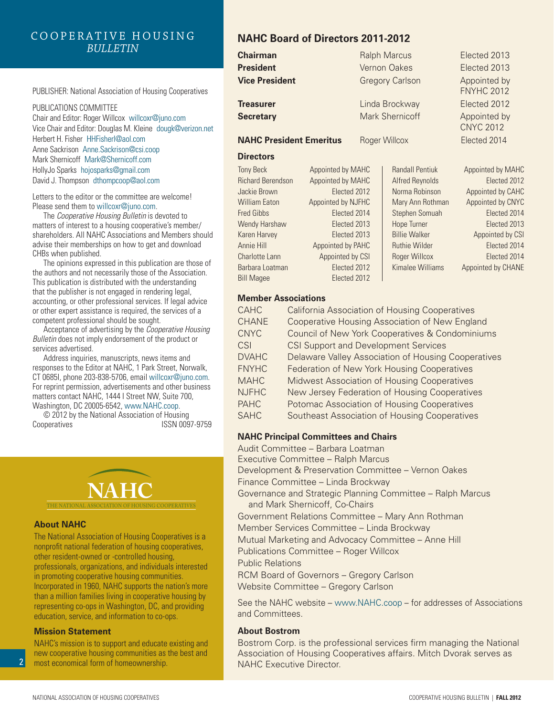#### Cooperative Housing *Bulletin*

PUBLISHER: National Association of Housing Cooperatives

PUBLICATIONS COMMITTEE

Chair and Editor: Roger Willcox willcoxr@juno.com Vice Chair and Editor: Douglas M. Kleine dougk@verizon.net Herbert H. Fisher HHFisherl@aol.com Anne Sackrison Anne.Sackrison@csi.coop Mark Shernicoff Mark@Shernicoff.com HollyJo Sparks hojosparks@gmail.com David J. Thompson dthompcoop@aol.com

Letters to the editor or the committee are welcome! Please send them to willcoxr@juno.com.

The *Cooperative Housing Bulletin* is devoted to matters of interest to a housing cooperative's member/ shareholders. All NAHC Associations and Members should advise their memberships on how to get and download CHBs when published.

The opinions expressed in this publication are those of the authors and not necessarily those of the Association. This publication is distributed with the understanding that the publisher is not engaged in rendering legal, accounting, or other professional services. If legal advice or other expert assistance is required, the services of a competent professional should be sought.

Acceptance of advertising by the *Cooperative Housing Bulletin* does not imply endorsement of the product or services advertised.

Address inquiries, manuscripts, news items and responses to the Editor at NAHC, 1 Park Street, Norwalk, CT 0685l, phone 203-838-5706, email willcoxr@juno.com. For reprint permission, advertisements and other business matters contact NAHC, 1444 I Street NW, Suite 700, Washington, DC 20005-6542, www.NAHC.coop.

© 2012 by the National Association of Housing Cooperatives **ISSN** 0097-9759



#### **About NAHC**

The National Association of Housing Cooperatives is a nonprofit national federation of housing cooperatives, other resident-owned or -controlled housing, professionals, organizations, and individuals interested in promoting cooperative housing communities. Incorporated in 1960, NAHC supports the nation's more than a million families living in cooperative housing by representing co-ops in Washington, DC, and providing education, service, and information to co-ops.

#### **Mission Statement**

 $\overline{2}$ 

NAHC's mission is to support and educate existing and new cooperative housing communities as the best and most economical form of homeownership.

## **NAHC Board of Directors 2011-2012**

| <b>Chairman</b>                |                    |               | <b>Ralph Marcus</b>    | Elected 2013                      |
|--------------------------------|--------------------|---------------|------------------------|-----------------------------------|
| <b>President</b>               |                    |               | <b>Vernon Oakes</b>    | Elected 2013                      |
| <b>Vice President</b>          |                    |               | <b>Gregory Carlson</b> | Appointed by<br><b>FNYHC 2012</b> |
| <b>Treasurer</b>               |                    |               | Linda Brockway         | Elected 2012                      |
| <b>Secretary</b>               |                    |               | Mark Shernicoff        | Appointed by<br><b>CNYC 2012</b>  |
| <b>NAHC President Emeritus</b> |                    | Roger Willcox |                        | Elected 2014                      |
| <b>Directors</b>               |                    |               |                        |                                   |
| <b>Tony Beck</b>               | Appointed by MAHC  |               | <b>Randall Pentiuk</b> | Appointed by MAHC                 |
| <b>Richard Berendson</b>       | Appointed by MAHC  |               | <b>Alfred Reynolds</b> | Elected 2012                      |
| Jackie Brown                   | Elected 2012       |               | Norma Robinson         | Appointed by CAHC                 |
| <b>William Eaton</b>           | Appointed by NJFHC |               | Mary Ann Rothman       | Appointed by CNYC                 |
| Fred Gibbs                     | Elected 2014       |               | Stephen Somuah         | Elected 2014                      |
| Wendy Harshaw                  | Elected 2013       |               | <b>Hope Turner</b>     | Elected 2013                      |
| Karen Harvey                   | Elected 2013       |               | <b>Billie Walker</b>   | Appointed by CSI                  |
| Annie Hill                     | Appointed by PAHC  |               | <b>Ruthie Wilder</b>   | Elected 2014                      |
| Charlotte Lann                 | Appointed by CSI   |               | Roger Willcox          | Elected 2014                      |
| Barbara Loatman                | Elected 2012       |               | Kimalee Williams       | Appointed by CHANE                |
| <b>Bill Magee</b>              | Elected 2012       |               |                        |                                   |
|                                |                    |               |                        |                                   |

#### **Member Associations**

| <b>CAHC</b>  | <b>California Association of Housing Cooperatives</b> |
|--------------|-------------------------------------------------------|
| <b>CHANE</b> | Cooperative Housing Association of New England        |
| <b>CNYC</b>  | Council of New York Cooperatives & Condominiums       |
| CSI          | <b>CSI Support and Development Services</b>           |
| <b>DVAHC</b> | Delaware Valley Association of Housing Cooperatives   |
| <b>FNYHC</b> | Federation of New York Housing Cooperatives           |
| <b>MAHC</b>  | Midwest Association of Housing Cooperatives           |
| <b>NJFHC</b> | New Jersey Federation of Housing Cooperatives         |
| <b>PAHC</b>  | Potomac Association of Housing Cooperatives           |
| <b>SAHC</b>  | Southeast Association of Housing Cooperatives         |

#### **NAHC Principal Committees and Chairs**

Audit Committee – Barbara Loatman Executive Committee – Ralph Marcus

Development & Preservation Committee – Vernon Oakes

Finance Committee – Linda Brockway

Governance and Strategic Planning Committee – Ralph Marcus and Mark Shernicoff, Co-Chairs

Government Relations Committee – Mary Ann Rothman

Member Services Committee – Linda Brockway

Mutual Marketing and Advocacy Committee – Anne Hill

Publications Committee – Roger Willcox

Public Relations

RCM Board of Governors – Gregory Carlson Website Committee – Gregory Carlson

See the NAHC website – www.NAHC.coop – for addresses of Associations and Committees.

#### **About Bostrom**

Bostrom Corp. is the professional services firm managing the National Association of Housing Cooperatives affairs. Mitch Dvorak serves as NAHC Executive Director.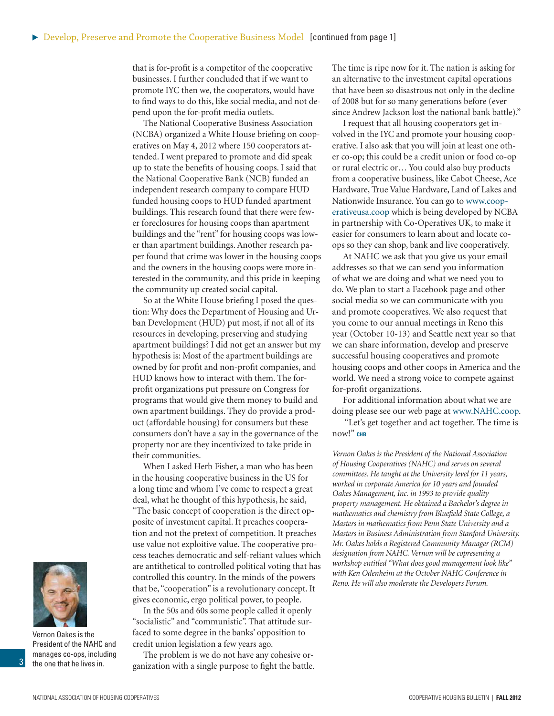that is for-profit is a competitor of the cooperative businesses. I further concluded that if we want to promote IYC then we, the cooperators, would have to find ways to do this, like social media, and not depend upon the for-profit media outlets.

The National Cooperative Business Association (NCBA) organized a White House briefing on cooperatives on May 4, 2012 where 150 cooperators attended. I went prepared to promote and did speak up to state the benefits of housing coops. I said that the National Cooperative Bank (NCB) funded an independent research company to compare HUD funded housing coops to HUD funded apartment buildings. This research found that there were fewer foreclosures for housing coops than apartment buildings and the "rent" for housing coops was lower than apartment buildings. Another research paper found that crime was lower in the housing coops and the owners in the housing coops were more interested in the community, and this pride in keeping the community up created social capital.

So at the White House briefing I posed the question: Why does the Department of Housing and Urban Development (HUD) put most, if not all of its resources in developing, preserving and studying apartment buildings? I did not get an answer but my hypothesis is: Most of the apartment buildings are owned by for profit and non-profit companies, and HUD knows how to interact with them. The forprofit organizations put pressure on Congress for programs that would give them money to build and own apartment buildings. They do provide a product (affordable housing) for consumers but these consumers don't have a say in the governance of the property nor are they incentivized to take pride in their communities.

When I asked Herb Fisher, a man who has been in the housing cooperative business in the US for a long time and whom I've come to respect a great deal, what he thought of this hypothesis, he said, "The basic concept of cooperation is the direct opposite of investment capital. It preaches cooperation and not the pretext of competition. It preaches use value not exploitive value. The cooperative process teaches democratic and self-reliant values which are antithetical to controlled political voting that has controlled this country. In the minds of the powers that be, "cooperation" is a revolutionary concept. It gives economic, ergo political power, to people.

In the 50s and 60s some people called it openly "socialistic" and "communistic". That attitude surfaced to some degree in the banks' opposition to credit union legislation a few years ago.

The problem is we do not have any cohesive organization with a single purpose to fight the battle. The time is ripe now for it. The nation is asking for an alternative to the investment capital operations that have been so disastrous not only in the decline of 2008 but for so many generations before (ever since Andrew Jackson lost the national bank battle)."

I request that all housing cooperators get involved in the IYC and promote your housing cooperative. I also ask that you will join at least one other co-op; this could be a credit union or food co-op or rural electric or… You could also buy products from a cooperative business, like Cabot Cheese, Ace Hardware, True Value Hardware, Land of Lakes and Nationwide Insurance. You can go to [www.coop](http://www.cooperatateusa.coop)[erativeusa.coop](http://www.cooperatateusa.coop) which is being developed by NCBA in partnership with Co-Operatives UK, to make it easier for consumers to learn about and locate coops so they can shop, bank and live cooperatively.

At NAHC we ask that you give us your email addresses so that we can send you information of what we are doing and what we need you to do. We plan to start a Facebook page and other social media so we can communicate with you and promote cooperatives. We also request that you come to our annual meetings in Reno this year (October 10-13) and Seattle next year so that we can share information, develop and preserve successful housing cooperatives and promote housing coops and other coops in America and the world. We need a strong voice to compete against for-profit organizations.

For additional information about what we are doing please see our web page at [www.NAHC.coop.](http://www.nahc.coop/)

 "Let's get together and act together. The time is now!" **chb**

*Vernon Oakes is the President of the National Association of Housing Cooperatives (NAHC) and serves on several committees. He taught at the University level for 11 years, worked in corporate America for 10 years and founded Oakes Management, Inc. in 1993 to provide quality property management. He obtained a Bachelor's degree in mathematics and chemistry from Bluefield State College, a Masters in mathematics from Penn State University and a Masters in Business Administration from Stanford University. Mr. Oakes holds a Registered Community Manager (RCM) designation from NAHC. Vernon will be copresenting a workshop entitled "What does good management look like" with Ken Odenheim at the October NAHC Conference in Reno. He will also moderate the Developers Forum.*



Vernon Oakes is the President of the NAHC and manages co-ops, including the one that he lives in.

3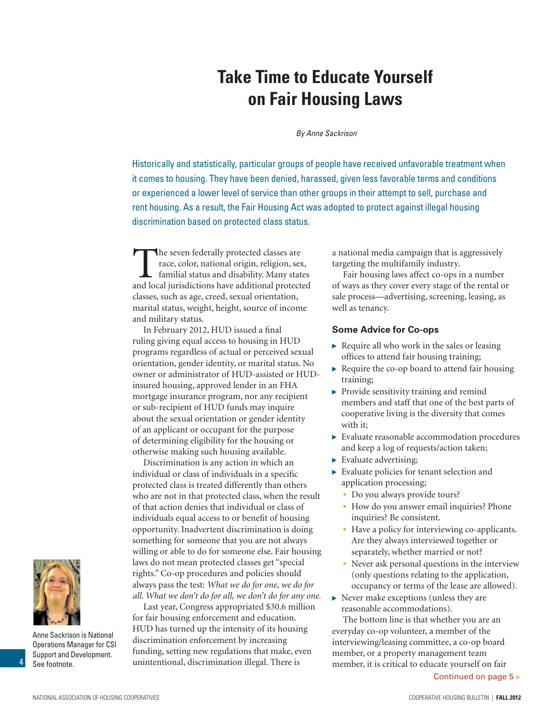# **Take Time to Educate Yourself on Fair Housing Laws**

*By Anne Sackrison*

Historically and statistically, particular groups of people have received unfavorable treatment when it comes to housing. They have been denied, harassed, given less favorable terms and conditions or experienced a lower level of service than other groups in their attempt to sell, purchase and rent housing. As a result, the Fair Housing Act was adopted to protect against illegal housing discrimination based on protected class status.

The seven federally protected classes are<br>race, color, national origin, religion, sex<br>familial status and disability. Many stat<br>and local iurisdictions have additional protect race, color, national origin, religion, sex, familial status and disability. Many states and local jurisdictions have additional protected classes, such as age, creed, sexual orientation, marital status, weight, height, source of income and military status.

In February 2012, HUD issued a final ruling giving equal access to housing in HUD programs regardless of actual or perceived sexual orientation, gender identity, or marital status. No owner or administrator of HUD-assisted or HUDinsured housing, approved lender in an FHA mortgage insurance program, nor any recipient or sub-recipient of HUD funds may inquire about the sexual orientation or gender identity of an applicant or occupant for the purpose of determining eligibility for the housing or otherwise making such housing available.

Discrimination is any action in which an individual or class of individuals in a specific protected class is treated differently than others who are not in that protected class, when the result of that action denies that individual or class of individuals equal access to or benefit of housing opportunity. Inadvertent discrimination is doing something for someone that you are not always willing or able to do for someone else. Fair housing laws do not mean protected classes get "special rights." Co-op procedures and policies should always pass the test: *What we do for one, we do for all. What we don't do for all, we don't do for any one.*

Last year, Congress appropriated \$30.6 million for fair housing enforcement and education. HUD has turned up the intensity of its housing discrimination enforcement by increasing funding, setting new regulations that make, even unintentional, discrimination illegal. There is

a national media campaign that is aggressively targeting the multifamily industry.

Fair housing laws affect co-ops in a number of ways as they cover every stage of the rental or sale process—advertising, screening, leasing, as well as tenancy.

#### **Some Advice for Co-ops**

- ▶ Require all who work in the sales or leasing offices to attend fair housing training;
- Require the co-op board to attend fair housing training;
- **•** Provide sensitivity training and remind members and staff that one of the best parts of cooperative living is the diversity that comes with it;
- Evaluate reasonable accommodation procedures and keep a log of requests/action taken;
- **Evaluate advertising;**
- Evaluate policies for tenant selection and application processing;
	- Do you always provide tours?
	- How do you answer email inquiries? Phone inquiries? Be consistent.
	- Have a policy for interviewing co-applicants. Are they always interviewed together or separately, whether married or not?
	- Never ask personal questions in the interview (only questions relating to the application, occupancy or terms of the lease are allowed).
- Never make exceptions (unless they are reasonable accommodations).

The bottom line is that whether you are an everyday co-op volunteer, a member of the interviewing/leasing committee, a co-op board member, or a property management team member, it is critical to educate yourself on fair





Anne Sackrison is National Operations Manager for CSI Support and Development. See footnote.

4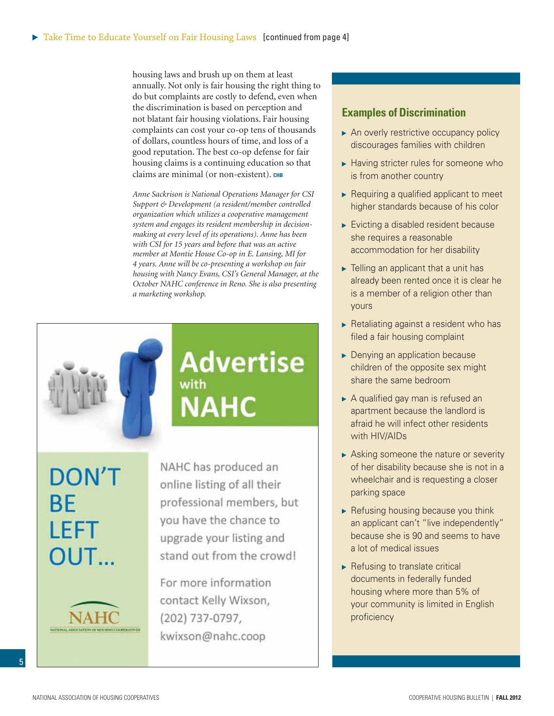housing laws and brush up on them at least annually. Not only is fair housing the right thing to do but complaints are costly to defend, even when the discrimination is based on perception and not blatant fair housing violations. Fair housing complaints can cost your co-op tens of thousands of dollars, countless hours of time, and loss of a good reputation. The best co-op defense for fair housing claims is a continuing education so that claims are minimal (or non-existent). CHB

*Anne Sackrison is National Operations Manager for CSI Support & Development (a resident/member controlled organization which utilizes a cooperative management system and engages its resident membership in decisionmaking at every level of its operations). Anne has been with CSI for 15 years and before that was an active member at Montie House Co-op in E. Lansing, MI for 4 years. Anne will be co-presenting a workshop on fair housing with Nancy Evans, CSI's General Manager, at the October NAHC conference in Reno. She is also presenting a marketing workshop.*

**Advertise** 

with

**NAHC** 

**DON'T BE LEFT** OUT...



NAHC has produced an online listing of all their professional members, but you have the chance to upgrade your listing and stand out from the crowd!

For more information contact Kelly Wixson, (202) 737-0797, kwixson@nahc.coop

#### **Examples of Discrimination**

- An overly restrictive occupancy policy discourages families with children
- ▶ Having stricter rules for someone who is from another country
- Requiring a qualified applicant to meet higher standards because of his color
- Evicting a disabled resident because she requires a reasonable accommodation for her disability
- Felling an applicant that a unit has already been rented once it is clear he is a member of a religion other than yours
- $\triangleright$  Retaliating against a resident who has filed a fair housing complaint
- **Denying an application because** children of the opposite sex might share the same bedroom
- A qualified gay man is refused an apartment because the landlord is afraid he will infect other residents with HIV/AIDs
- Asking someone the nature or severity of her disability because she is not in a wheelchair and is requesting a closer parking space
- $\blacktriangleright$  Refusing housing because you think an applicant can't "live independently" because she is 90 and seems to have a lot of medical issues
- $\blacktriangleright$  Refusing to translate critical documents in federally funded housing where more than 5% of your community is limited in English proficiency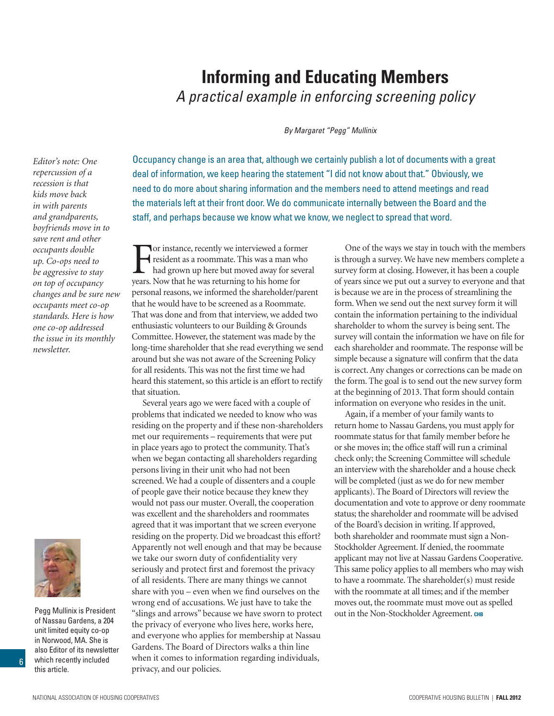#### which recently included this article.

National Association of Housing Cooperatives Cooperative Housing Bulletin | **Fall 2012**

of Nassau Gardens, a 204 unit limited equity co-op in Norwood, MA. She is also Editor of its newsletter

6

*repercussion of a recession is that kids move back in with parents and grandparents, boyfriends move in to save rent and other occupants double up. Co-ops need to be aggressive to stay on top of occupancy changes and be sure new occupants meet co-op standards. Here is how one co-op addressed the issue in its monthly newsletter.*

*Editor's note: One* 

## **Informing and Educating Members**  *A practical example in enforcing screening policy*

*By Margaret "Pegg" Mullinix*

Occupancy change is an area that, although we certainly publish a lot of documents with a great deal of information, we keep hearing the statement "I did not know about that." Obviously, we need to do more about sharing information and the members need to attend meetings and read the materials left at their front door. We do communicate internally between the Board and the staff, and perhaps because we know what we know, we neglect to spread that word.

F or instance, recently we interviewed a former resident as a roommate. This was a man who had grown up here but moved away for several years. Now that he was returning to his home for personal reasons, we informed the shareholder/parent that he would have to be screened as a Roommate. That was done and from that interview, we added two enthusiastic volunteers to our Building & Grounds Committee. However, the statement was made by the long-time shareholder that she read everything we send around but she was not aware of the Screening Policy for all residents. This was not the first time we had heard this statement, so this article is an effort to rectify that situation.

Several years ago we were faced with a couple of problems that indicated we needed to know who was residing on the property and if these non-shareholders met our requirements – requirements that were put in place years ago to protect the community. That's when we began contacting all shareholders regarding persons living in their unit who had not been screened. We had a couple of dissenters and a couple of people gave their notice because they knew they would not pass our muster. Overall, the cooperation was excellent and the shareholders and roommates agreed that it was important that we screen everyone residing on the property. Did we broadcast this effort? Apparently not well enough and that may be because we take our sworn duty of confidentiality very seriously and protect first and foremost the privacy of all residents. There are many things we cannot share with you – even when we find ourselves on the wrong end of accusations. We just have to take the Pegg Mullinix is President "slings and arrows" because we have sworn to protect out in the Non-Stockholder Agreement. CHB the privacy of everyone who lives here, works here, and everyone who applies for membership at Nassau Gardens. The Board of Directors walks a thin line when it comes to information regarding individuals, privacy, and our policies.

One of the ways we stay in touch with the members is through a survey. We have new members complete a survey form at closing. However, it has been a couple of years since we put out a survey to everyone and that is because we are in the process of streamlining the form. When we send out the next survey form it will contain the information pertaining to the individual shareholder to whom the survey is being sent. The survey will contain the information we have on file for each shareholder and roommate. The response will be simple because a signature will confirm that the data is correct. Any changes or corrections can be made on the form. The goal is to send out the new survey form at the beginning of 2013. That form should contain information on everyone who resides in the unit.

Again, if a member of your family wants to return home to Nassau Gardens, you must apply for roommate status for that family member before he or she moves in; the office staff will run a criminal check only; the Screening Committee will schedule an interview with the shareholder and a house check will be completed (just as we do for new member applicants). The Board of Directors will review the documentation and vote to approve or deny roommate status; the shareholder and roommate will be advised of the Board's decision in writing. If approved, both shareholder and roommate must sign a Non-Stockholder Agreement. If denied, the roommate applicant may not live at Nassau Gardens Cooperative. This same policy applies to all members who may wish to have a roommate. The shareholder(s) must reside with the roommate at all times; and if the member moves out, the roommate must move out as spelled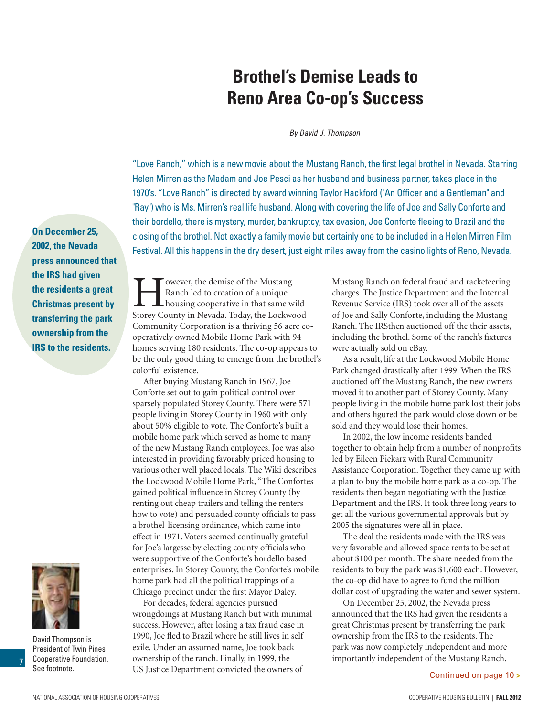### National Association of Housing Cooperatives Cooperative Housing Bulletin | **Fall 2012**

# **Brothel's Demise Leads to Reno Area Co-op's Success**

*By David J. Thompson*

"Love Ranch," which is a new movie about the Mustang Ranch, the first legal brothel in Nevada. Starring Helen Mirren as the Madam and Joe Pesci as her husband and business partner, takes place in the 1970's. "Love Ranch" is directed by award winning Taylor Hackford ("An Officer and a Gentleman" and "Ray") who is Ms. Mirren's real life husband. Along with covering the life of Joe and Sally Conforte and their bordello, there is mystery, murder, bankruptcy, tax evasion, Joe Conforte fleeing to Brazil and the closing of the brothel. Not exactly a family movie but certainly one to be included in a Helen Mirren Film Festival. All this happens in the dry desert, just eight miles away from the casino lights of Reno, Nevada.

**On December 25, 2002, the Nevada press announced that the IRS had given the residents a great Christmas present by transferring the park ownership from the IRS to the residents.**

Rowever, the demise of the Mustang<br>Ranch led to creation of a unique<br>housing cooperative in that same we<br>Storey County in Nevada Today the Lockwe Ranch led to creation of a unique housing cooperative in that same wild Storey County in Nevada. Today, the Lockwood Community Corporation is a thriving 56 acre cooperatively owned Mobile Home Park with 94 homes serving 180 residents. The co-op appears to be the only good thing to emerge from the brothel's colorful existence.

After buying Mustang Ranch in 1967, Joe Conforte set out to gain political control over sparsely populated Storey County. There were 571 people living in Storey County in 1960 with only about 50% eligible to vote. The Conforte's built a mobile home park which served as home to many of the new Mustang Ranch employees. Joe was also interested in providing favorably priced housing to various other well placed locals. The Wiki describes the Lockwood Mobile Home Park, "The Confortes gained political influence in Storey County (by renting out cheap trailers and telling the renters how to vote) and persuaded county officials to pass a brothel-licensing ordinance, which came into effect in 1971. Voters seemed continually grateful for Joe's largesse by electing county officials who were supportive of the Conforte's bordello based enterprises. In Storey County, the Conforte's mobile home park had all the political trappings of a Chicago precinct under the first Mayor Daley.

For decades, federal agencies pursued wrongdoings at Mustang Ranch but with minimal success. However, after losing a tax fraud case in 1990, Joe fled to Brazil where he still lives in self exile. Under an assumed name, Joe took back ownership of the ranch. Finally, in 1999, the US Justice Department convicted the owners of

Mustang Ranch on federal fraud and racketeering charges. The Justice Department and the Internal Revenue Service (IRS) took over all of the assets of Joe and Sally Conforte, including the Mustang Ranch. The IRSthen auctioned off the their assets, including the brothel. Some of the ranch's fixtures were actually sold on eBay.

As a result, life at the Lockwood Mobile Home Park changed drastically after 1999. When the IRS auctioned off the Mustang Ranch, the new owners moved it to another part of Storey County. Many people living in the mobile home park lost their jobs and others figured the park would close down or be sold and they would lose their homes.

In 2002, the low income residents banded together to obtain help from a number of nonprofits led by Eileen Piekarz with Rural Community Assistance Corporation. Together they came up with a plan to buy the mobile home park as a co-op. The residents then began negotiating with the Justice Department and the IRS. It took three long years to get all the various governmental approvals but by 2005 the signatures were all in place.

The deal the residents made with the IRS was very favorable and allowed space rents to be set at about \$100 per month. The share needed from the residents to buy the park was \$1,600 each. However, the co-op did have to agree to fund the million dollar cost of upgrading the water and sewer system.

On December 25, 2002, the Nevada press announced that the IRS had given the residents a great Christmas present by transferring the park ownership from the IRS to the residents. The park was now completely independent and more importantly independent of the Mustang Ranch.



See footnote.

President of Twin Pines Cooperative Foundation.

7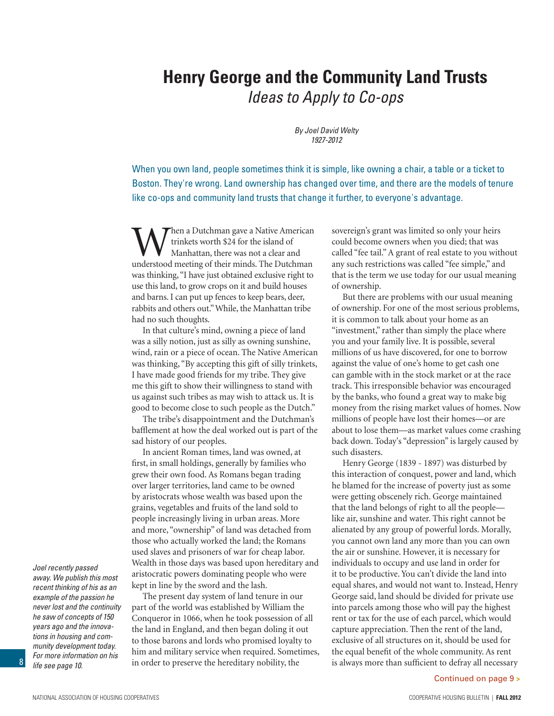## **Henry George and the Community Land Trusts**  *Ideas to Apply to Co-ops*

*By Joel David Welty 1927-2012*

When you own land, people sometimes think it is simple, like owning a chair, a table or a ticket to Boston. They're wrong. Land ownership has changed over time, and there are the models of tenure like co-ops and community land trusts that change it further, to everyone's advantage.

Then a Dutchman gave a Native American trinkets worth \$24 for the island of Manhattan, there was not a clear and understood meeting of their minds. The Dutchman was thinking, "I have just obtained exclusive right to use this land, to grow crops on it and build houses and barns. I can put up fences to keep bears, deer, rabbits and others out." While, the Manhattan tribe had no such thoughts.

In that culture's mind, owning a piece of land was a silly notion, just as silly as owning sunshine, wind, rain or a piece of ocean. The Native American was thinking, "By accepting this gift of silly trinkets, I have made good friends for my tribe. They give me this gift to show their willingness to stand with us against such tribes as may wish to attack us. It is good to become close to such people as the Dutch."

The tribe's disappointment and the Dutchman's bafflement at how the deal worked out is part of the sad history of our peoples.

In ancient Roman times, land was owned, at first, in small holdings, generally by families who grew their own food. As Romans began trading over larger territories, land came to be owned by aristocrats whose wealth was based upon the grains, vegetables and fruits of the land sold to people increasingly living in urban areas. More and more, "ownership" of land was detached from those who actually worked the land; the Romans used slaves and prisoners of war for cheap labor. Wealth in those days was based upon hereditary and aristocratic powers dominating people who were kept in line by the sword and the lash.

The present day system of land tenure in our part of the world was established by William the Conqueror in 1066, when he took possession of all the land in England, and then began doling it out to those barons and lords who promised loyalty to him and military service when required. Sometimes, in order to preserve the hereditary nobility, the

sovereign's grant was limited so only your heirs could become owners when you died; that was called "fee tail." A grant of real estate to you without any such restrictions was called "fee simple," and that is the term we use today for our usual meaning of ownership.

But there are problems with our usual meaning of ownership. For one of the most serious problems, it is common to talk about your home as an "investment," rather than simply the place where you and your family live. It is possible, several millions of us have discovered, for one to borrow against the value of one's home to get cash one can gamble with in the stock market or at the race track. This irresponsible behavior was encouraged by the banks, who found a great way to make big money from the rising market values of homes. Now millions of people have lost their homes—or are about to lose them—as market values come crashing back down. Today's "depression" is largely caused by such disasters.

Henry George (1839 - 1897) was disturbed by this interaction of conquest, power and land, which he blamed for the increase of poverty just as some were getting obscenely rich. George maintained that the land belongs of right to all the people like air, sunshine and water. This right cannot be alienated by any group of powerful lords. Morally, you cannot own land any more than you can own the air or sunshine. However, it is necessary for individuals to occupy and use land in order for it to be productive. You can't divide the land into equal shares, and would not want to. Instead, Henry George said, land should be divided for private use into parcels among those who will pay the highest rent or tax for the use of each parcel, which would capture appreciation. Then the rent of the land, exclusive of all structures on it, should be used for the equal benefit of the whole community. As rent is always more than sufficient to defray all necessary

Continued on page 9 **>**

*away. We publish this most recent thinking of his as an example of the passion he never lost and the continuity he saw of concepts of 150 years ago and the innovations in housing and community development today. For more information on his life see page 10.*

*Joel recently passed*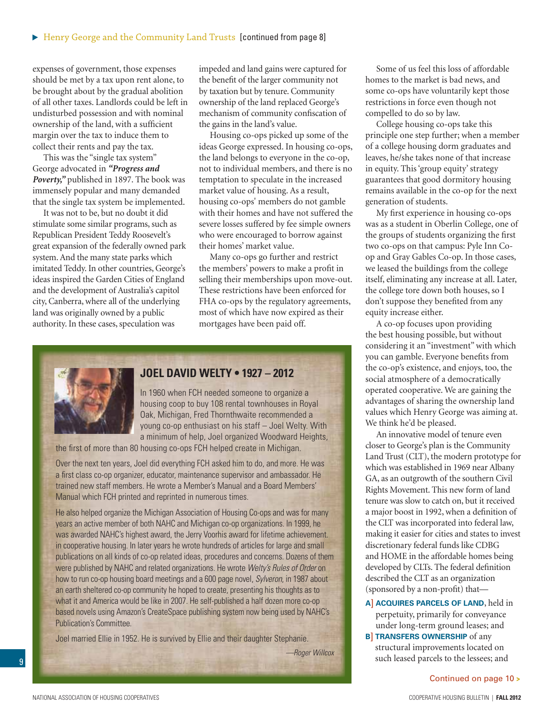expenses of government, those expenses should be met by a tax upon rent alone, to be brought about by the gradual abolition of all other taxes. Landlords could be left in undisturbed possession and with nominal ownership of the land, with a sufficient margin over the tax to induce them to collect their rents and pay the tax.

This was the "single tax system" George advocated in *"Progress and Poverty,"* published in 1897. The book was immensely popular and many demanded that the single tax system be implemented.

It was not to be, but no doubt it did stimulate some similar programs, such as Republican President Teddy Roosevelt's great expansion of the federally owned park system. And the many state parks which imitated Teddy. In other countries, George's ideas inspired the Garden Cities of England and the development of Australia's capitol city, Canberra, where all of the underlying land was originally owned by a public authority. In these cases, speculation was

impeded and land gains were captured for the benefit of the larger community not by taxation but by tenure. Community ownership of the land replaced George's mechanism of community confiscation of the gains in the land's value.

Housing co-ops picked up some of the ideas George expressed. In housing co-ops, the land belongs to everyone in the co-op, not to individual members, and there is no temptation to speculate in the increased market value of housing. As a result, housing co-ops' members do not gamble with their homes and have not suffered the severe losses suffered by fee simple owners who were encouraged to borrow against their homes' market value.

Many co-ops go further and restrict the members' powers to make a profit in selling their memberships upon move-out. These restrictions have been enforced for FHA co-ops by the regulatory agreements, most of which have now expired as their mortgages have been paid off.



#### **JOEL DAVID WELTY • 1927 – 2012**

In 1960 when FCH needed someone to organize a housing coop to buy 108 rental townhouses in Royal Oak, Michigan, Fred Thornthwaite recommended a young co-op enthusiast on his staff – Joel Welty. With a minimum of help, Joel organized Woodward Heights,

the first of more than 80 housing co-ops FCH helped create in Michigan.

Over the next ten years, Joel did everything FCH asked him to do, and more. He was a first class co-op organizer, educator, maintenance supervisor and ambassador. He trained new staff members. He wrote a Member's Manual and a Board Members' Manual which FCH printed and reprinted in numerous times.

He also helped organize the Michigan Association of Housing Co-ops and was for many years an active member of both NAHC and Michigan co-op organizations. In 1999, he was awarded NAHC's highest award, the Jerry Voorhis award for lifetime achievement. in cooperative housing. In later years he wrote hundreds of articles for large and small publications on all kinds of co-op related ideas, procedures and concerns. Dozens of them were published by NAHC and related organizations. He wrote *Welty's Rules of Order* on how to run co-op housing board meetings and a 600 page novel, *Sylveron*, in 1987 about an earth sheltered co-op community he hoped to create, presenting his thoughts as to what it and America would be like in 2007. He self-published a half dozen more co-op based novels using Amazon's CreateSpace publishing system now being used by NAHC's Publication's Committee.

Joel married Ellie in 1952. He is survived by Ellie and their daughter Stephanie.

*—Roger Willcox* 

Some of us feel this loss of affordable homes to the market is bad news, and some co-ops have voluntarily kept those restrictions in force even though not compelled to do so by law.

College housing co-ops take this principle one step further; when a member of a college housing dorm graduates and leaves, he/she takes none of that increase in equity. This 'group equity' strategy guarantees that good dormitory housing remains available in the co-op for the next generation of students.

My first experience in housing co-ops was as a student in Oberlin College, one of the groups of students organizing the first two co-ops on that campus: Pyle Inn Coop and Gray Gables Co-op. In those cases, we leased the buildings from the college itself, eliminating any increase at all. Later, the college tore down both houses, so I don't suppose they benefited from any equity increase either.

A co-op focuses upon providing the best housing possible, but without considering it an "investment" with which you can gamble. Everyone benefits from the co-op's existence, and enjoys, too, the social atmosphere of a democratically operated cooperative. We are gaining the advantages of sharing the ownership land values which Henry George was aiming at. We think he'd be pleased.

An innovative model of tenure even closer to George's plan is the Community Land Trust (CLT), the modern prototype for which was established in 1969 near Albany GA, as an outgrowth of the southern Civil Rights Movement. This new form of land tenure was slow to catch on, but it received a major boost in 1992, when a definition of the CLT was incorporated into federal law, making it easier for cities and states to invest discretionary federal funds like CDBG and HOME in the affordable homes being developed by CLTs. The federal definition described the CLT as an organization (sponsored by a non-profit) that—

- **A**] **acquires parcels of land**, held in perpetuity, primarily for conveyance under long-term ground leases; and
- **B**] **transfers ownership** of any structural improvements located on such leased parcels to the lessees; and

Continued on page 10 **>**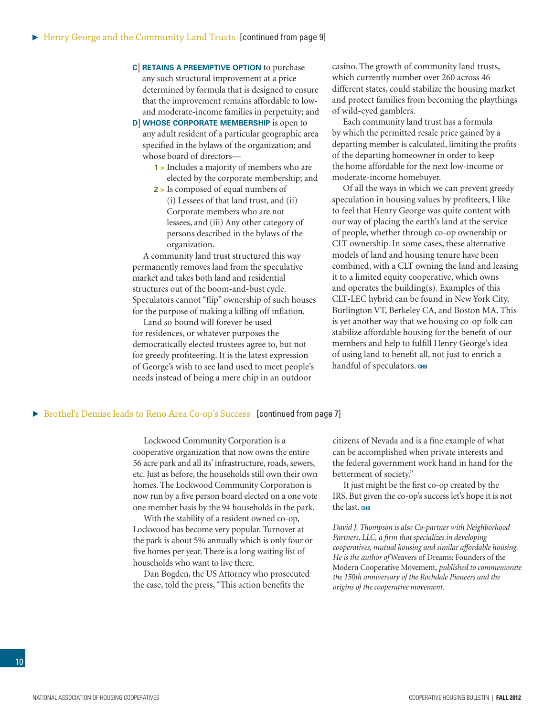- **C**] **retains a preemptive option** to purchase any such structural improvement at a price determined by formula that is designed to ensure that the improvement remains affordable to lowand moderate-income families in perpetuity; and
- **D**] WHOSE CORPORATE MEMBERSHIP is open to any adult resident of a particular geographic area specified in the bylaws of the organization; and whose board of directors—
	- **1 >** Includes a majority of members who are elected by the corporate membership; and
	- **2 >** Is composed of equal numbers of (i) Lessees of that land trust, and (ii) Corporate members who are not lessees, and (iii) Any other category of persons described in the bylaws of the organization.

A community land trust structured this way permanently removes land from the speculative market and takes both land and residential structures out of the boom-and-bust cycle. Speculators cannot "flip" ownership of such houses for the purpose of making a killing off inflation.

Land so bound will forever be used for residences, or whatever purposes the democratically elected trustees agree to, but not for greedy profiteering. It is the latest expression of George's wish to see land used to meet people's needs instead of being a mere chip in an outdoor

casino. The growth of community land trusts, which currently number over 260 across 46 different states, could stabilize the housing market and protect families from becoming the playthings of wild-eyed gamblers.

Each community land trust has a formula by which the permitted resale price gained by a departing member is calculated, limiting the profits of the departing homeowner in order to keep the home affordable for the next low-income or moderate-income homebuyer.

Of all the ways in which we can prevent greedy speculation in housing values by profiteers, I like to feel that Henry George was quite content with our way of placing the earth's land at the service of people, whether through co-op ownership or CLT ownership. In some cases, these alternative models of land and housing tenure have been combined, with a CLT owning the land and leasing it to a limited equity cooperative, which owns and operates the building(s). Examples of this CLT-LEC hybrid can be found in New York City, Burlington VT, Berkeley CA, and Boston MA. This is yet another way that we housing co-op folk can stabilize affordable housing for the benefit of our members and help to fulfill Henry George's idea of using land to benefit all, not just to enrich a handful of speculators. CHB

#### **Example 3 Brothel's Demise leads to Reno Area Co-op's Success [continued from page 7]**

Lockwood Community Corporation is a cooperative organization that now owns the entire 56 acre park and all its' infrastructure, roads, sewers, etc. Just as before, the households still own their own homes. The Lockwood Community Corporation is now run by a five person board elected on a one vote one member basis by the 94 households in the park.

With the stability of a resident owned co-op, Lockwood has become very popular. Turnover at the park is about 5% annually which is only four or five homes per year. There is a long waiting list of households who want to live there.

Dan Bogden, the US Attorney who prosecuted the case, told the press, "This action benefits the

citizens of Nevada and is a fine example of what can be accomplished when private interests and the federal government work hand in hand for the betterment of society."

It just might be the first co-op created by the IRS. But given the co-op's success let's hope it is not the last. CHB

*David J. Thompson is also Co-partner with Neighborhood Partners, LLC, a firm that specializes in developing cooperatives, mutual housing and similar affordable housing. He is the author of* Weavers of Dreams: Founders of the Modern Cooperative Movement*, published to commemorate the 150th anniversary of the Rochdale Pioneers and the origins of the cooperative movement.*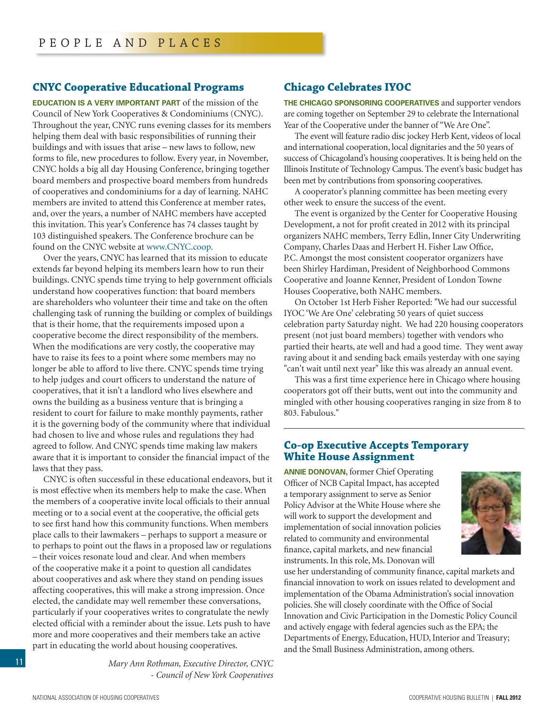#### **Cnyc Cooperative Educational Programs**

**Education is a very important part** of the mission of the Council of New York Cooperatives & Condominiums (CNYC). Throughout the year, CNYC runs evening classes for its members helping them deal with basic responsibilities of running their buildings and with issues that arise – new laws to follow, new forms to file, new procedures to follow. Every year, in November, CNYC holds a big all day Housing Conference, bringing together board members and prospective board members from hundreds of cooperatives and condominiums for a day of learning. NAHC members are invited to attend this Conference at member rates, and, over the years, a number of NAHC members have accepted this invitation. This year's Conference has 74 classes taught by 103 distinguished speakers. The Conference brochure can be found on the CNYC website at [www.CNYC.coop.](http://www.CNYC.coop.)

Over the years, CNYC has learned that its mission to educate extends far beyond helping its members learn how to run their buildings. CNYC spends time trying to help government officials understand how cooperatives function: that board members are shareholders who volunteer their time and take on the often challenging task of running the building or complex of buildings that is their home, that the requirements imposed upon a cooperative become the direct responsibility of the members. When the modifications are very costly, the cooperative may have to raise its fees to a point where some members may no longer be able to afford to live there. CNYC spends time trying to help judges and court officers to understand the nature of cooperatives, that it isn't a landlord who lives elsewhere and owns the building as a business venture that is bringing a resident to court for failure to make monthly payments, rather it is the governing body of the community where that individual had chosen to live and whose rules and regulations they had agreed to follow. And CNYC spends time making law makers aware that it is important to consider the financial impact of the laws that they pass.

CNYC is often successful in these educational endeavors, but it is most effective when its members help to make the case. When the members of a cooperative invite local officials to their annual meeting or to a social event at the cooperative, the official gets to see first hand how this community functions. When members place calls to their lawmakers – perhaps to support a measure or to perhaps to point out the flaws in a proposed law or regulations – their voices resonate loud and clear. And when members of the cooperative make it a point to question all candidates about cooperatives and ask where they stand on pending issues affecting cooperatives, this will make a strong impression. Once elected, the candidate may well remember these conversations, particularly if your cooperatives writes to congratulate the newly elected official with a reminder about the issue. Lets push to have more and more cooperatives and their members take an active part in educating the world about housing cooperatives.

> *Mary Ann Rothman, Executive Director, CNYC - Council of New York Cooperatives*

#### **Chicago Celebrates IYOC**

**The Chicago sponsoring cooperatives** and supporter vendors are coming together on September 29 to celebrate the International Year of the Cooperative under the banner of "We Are One".

The event will feature radio disc jockey Herb Kent, videos of local and international cooperation, local dignitaries and the 50 years of success of Chicagoland's housing cooperatives. It is being held on the Illinois Institute of Technology Campus. The event's basic budget has been met by contributions from sponsoring cooperatives.

A cooperator's planning committee has been meeting every other week to ensure the success of the event.

The event is organized by the Center for Cooperative Housing Development, a not for profit created in 2012 with its principal organizers NAHC members, Terry Edlin, Inner City Underwriting Company, Charles Daas and Herbert H. Fisher Law Office, P.C. Amongst the most consistent cooperator organizers have been Shirley Hardiman, President of Neighborhood Commons Cooperative and Joanne Kenner, President of London Towne Houses Cooperative, both NAHC members.

On October 1st Herb Fisher Reported: "We had our successful IYOC 'We Are One' celebrating 50 years of quiet success celebration party Saturday night. We had 220 housing cooperators present (not just board members) together with vendors who partied their hearts, ate well and had a good time. They went away raving about it and sending back emails yesterday with one saying "can't wait until next year" like this was already an annual event.

This was a first time experience here in Chicago where housing cooperators got off their butts, went out into the community and mingled with other housing cooperatives ranging in size from 8 to 803. Fabulous."

#### **Co-op Executive Accepts Temporary White House Assignment**

**Annie Donovan**, former Chief Operating Officer of NCB Capital Impact, has accepted a temporary assignment to serve as Senior Policy Advisor at the White House where she will work to support the development and implementation of social innovation policies related to community and environmental finance, capital markets, and new financial instruments. In this role, Ms. Donovan will



use her understanding of community finance, capital markets and financial innovation to work on issues related to development and implementation of the Obama Administration's social innovation policies. She will closely coordinate with the Office of Social Innovation and Civic Participation in the Domestic Policy Council and actively engage with federal agencies such as the EPA; the Departments of Energy, Education, HUD, Interior and Treasury; and the Small Business Administration, among others.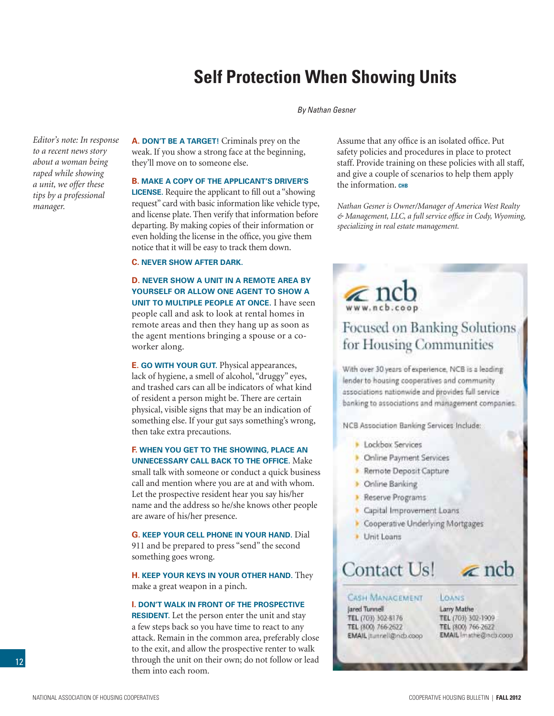## **Self Protection When Showing Units**

#### *By Nathan Gesner*

*Editor's note: In response to a recent news story about a woman being raped while showing a unit, we offer these tips by a professional manager.*

**A. Don't be a target!** Criminals prey on the weak. If you show a strong face at the beginning, they'll move on to someone else.

#### **B. Make a copy of the applicant's driver's**

**license.** Require the applicant to fill out a "showing request" card with basic information like vehicle type, and license plate. Then verify that information before departing. By making copies of their information or even holding the license in the office, you give them notice that it will be easy to track them down.

#### **C. Never show after dark.**

**D. Never show a unit in a remote area by yourself or allow one agent to show a unit to multiple people at once.** I have seen people call and ask to look at rental homes in remote areas and then they hang up as soon as the agent mentions bringing a spouse or a coworker along.

**E. Go with your gut.** Physical appearances, lack of hygiene, a smell of alcohol, "druggy" eyes, and trashed cars can all be indicators of what kind of resident a person might be. There are certain physical, visible signs that may be an indication of something else. If your gut says something's wrong, then take extra precautions.

#### **F. When you get to the showing, place an unnecessary call back to the office.** Make

small talk with someone or conduct a quick business call and mention where you are at and with whom. Let the prospective resident hear you say his/her name and the address so he/she knows other people are aware of his/her presence.

**G. Keep your cell phone in your hand.** Dial 911 and be prepared to press "send" the second something goes wrong.

**H. Keep your keys in your other hand.** They make a great weapon in a pinch.

#### **I. Don't walk in front of the prospective**

**RESIDENT.** Let the person enter the unit and stay a few steps back so you have time to react to any attack. Remain in the common area, preferably close to the exit, and allow the prospective renter to walk through the unit on their own; do not follow or lead them into each room.

Assume that any office is an isolated office. Put safety policies and procedures in place to protect staff. Provide training on these policies with all staff, and give a couple of scenarios to help them apply the information. **CHB** 

*Nathan Gesner is Owner/Manager of America West Realty & Management, LLC, a full service office in Cody, Wyoming, specializing in real estate management.*

# $\sum_{\text{www.netb.coop}}$

## Focused on Banking Solutions for Housing Communities

With over 30 years of experience, NCB is a leading lender to housing cooperatives and community associations nationwide and provides full service banking to associations and management companies.

NCB Association Banking Services Include:

- Lockbox Services
- **C**nline Payment Services
- Remote Deposit Capture
- **Dinime Banking**
- Reserve Programs
- Capital Improvement Loans
- Cooperative Underlying Mortgages
- Unit Leans

# Contact Us!

#### **CASH MANAGEMENT** Jared Tunnell TEL (703) 302-6176 TEL (800) 766-2622 EMAIL jtunnell@ndb.coop

LOANS Larry Mathe TEL (703) 302-1909 TEL (800) 766-2622 EMAIL Imathe@ncb.coco

 $\leq$  ncb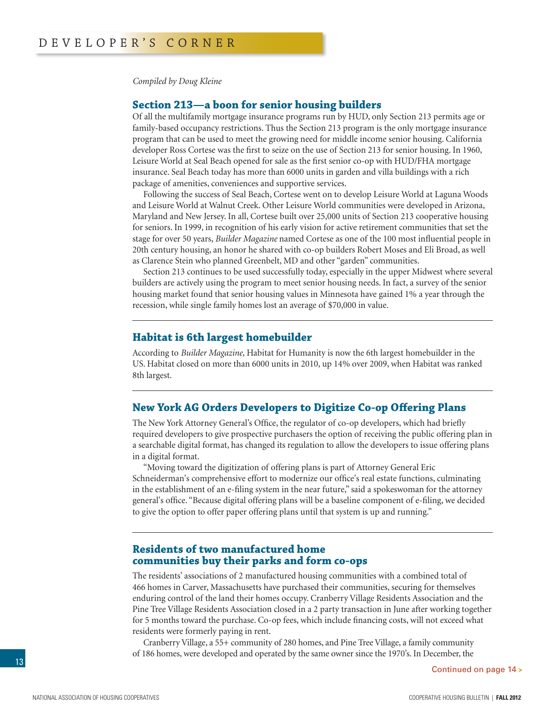*Compiled by Doug Kleine*

#### **Section 213—a boon for senior housing builders**

Of all the multifamily mortgage insurance programs run by HUD, only Section 213 permits age or family-based occupancy restrictions. Thus the Section 213 program is the only mortgage insurance program that can be used to meet the growing need for middle income senior housing. California developer Ross Cortese was the first to seize on the use of Section 213 for senior housing. In 1960, Leisure World at Seal Beach opened for sale as the first senior co-op with HUD/FHA mortgage insurance. Seal Beach today has more than 6000 units in garden and villa buildings with a rich package of amenities, conveniences and supportive services.

Following the success of Seal Beach, Cortese went on to develop Leisure World at Laguna Woods and Leisure World at Walnut Creek. Other Leisure World communities were developed in Arizona, Maryland and New Jersey. In all, Cortese built over 25,000 units of Section 213 cooperative housing for seniors. In 1999, in recognition of his early vision for active retirement communities that set the stage for over 50 years, *Builder Magazine* named Cortese as one of the 100 most influential people in 20th century housing, an honor he shared with co-op builders Robert Moses and Eli Broad, as well as Clarence Stein who planned Greenbelt, MD and other "garden" communities.

Section 213 continues to be used successfully today, especially in the upper Midwest where several builders are actively using the program to meet senior housing needs. In fact, a survey of the senior housing market found that senior housing values in Minnesota have gained 1% a year through the recession, while single family homes lost an average of \$70,000 in value.

#### **Habitat is 6th largest homebuilder**

According to *Builder Magazine,* Habitat for Humanity is now the 6th largest homebuilder in the US. Habitat closed on more than 6000 units in 2010, up 14% over 2009, when Habitat was ranked 8th largest.

#### **New York AG Orders Developers to Digitize Co-op Offering Plans**

The New York Attorney General's Office, the regulator of co-op developers, which had briefly required developers to give prospective purchasers the option of receiving the public offering plan in a searchable digital format, has changed its regulation to allow the developers to issue offering plans in a digital format.

"Moving toward the digitization of offering plans is part of Attorney General Eric Schneiderman's comprehensive effort to modernize our office's real estate functions, culminating in the establishment of an e-filing system in the near future," said a spokeswoman for the attorney general's office. "Because digital offering plans will be a baseline component of e-filing, we decided to give the option to offer paper offering plans until that system is up and running."

#### **Residents of two manufactured home communities buy their parks and form co-ops**

The residents' associations of 2 manufactured housing communities with a combined total of 466 homes in Carver, Massachusetts have purchased their communities, securing for themselves enduring control of the land their homes occupy. Cranberry Village Residents Association and the Pine Tree Village Residents Association closed in a 2 party transaction in June after working together for 5 months toward the purchase. Co-op fees, which include financing costs, will not exceed what residents were formerly paying in rent.

Cranberry Village, a 55+ community of 280 homes, and Pine Tree Village, a family community of 186 homes, were developed and operated by the same owner since the 1970's. In December, the

Continued on page 14 **>**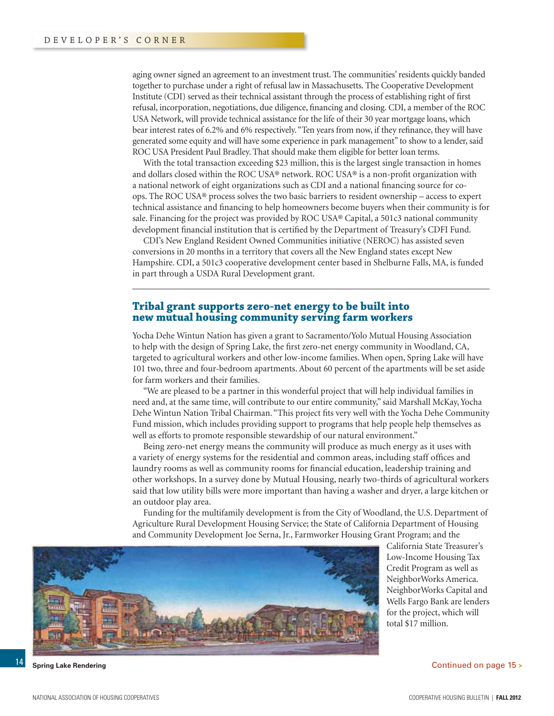aging owner signed an agreement to an investment trust. The communities' residents quickly banded together to purchase under a right of refusal law in Massachusetts. The Cooperative Development Institute (CDI) served as their technical assistant through the process of establishing right of first refusal, incorporation, negotiations, due diligence, financing and closing. CDI, a member of the ROC USA Network, will provide technical assistance for the life of their 30 year mortgage loans, which bear interest rates of 6.2% and 6% respectively. "Ten years from now, if they refinance, they will have generated some equity and will have some experience in park management" to show to a lender, said ROC USA President Paul Bradley. That should make them eligible for better loan terms.

With the total transaction exceeding \$23 million, this is the largest single transaction in homes and dollars closed within the ROC USA® network. ROC USA® is a non-profit organization with a national network of eight organizations such as CDI and a national financing source for coops. The ROC USA® process solves the two basic barriers to resident ownership – access to expert technical assistance and financing to help homeowners become buyers when their community is for sale. Financing for the project was provided by ROC USA® Capital, a 501c3 national community development financial institution that is certified by the Department of Treasury's CDFI Fund.

CDI's New England Resident Owned Communities initiative (NEROC) has assisted seven conversions in 20 months in a territory that covers all the New England states except New Hampshire. CDI, a 501c3 cooperative development center based in Shelburne Falls, MA, is funded in part through a USDA Rural Development grant.

#### **Tribal grant supports zero-net energy to be built into new mutual housing community serving farm workers**

Yocha Dehe Wintun Nation has given a grant to Sacramento/Yolo Mutual Housing Association to help with the design of Spring Lake, the first zero-net energy community in Woodland, CA, targeted to agricultural workers and other low-income families. When open, Spring Lake will have 101 two, three and four-bedroom apartments. About 60 percent of the apartments will be set aside for farm workers and their families.

"We are pleased to be a partner in this wonderful project that will help individual families in need and, at the same time, will contribute to our entire community," said Marshall McKay, Yocha Dehe Wintun Nation Tribal Chairman. "This project fits very well with the Yocha Dehe Community Fund mission, which includes providing support to programs that help people help themselves as well as efforts to promote responsible stewardship of our natural environment."

Being zero-net energy means the community will produce as much energy as it uses with a variety of energy systems for the residential and common areas, including staff offices and laundry rooms as well as community rooms for financial education, leadership training and other workshops. In a survey done by Mutual Housing, nearly two-thirds of agricultural workers said that low utility bills were more important than having a washer and dryer, a large kitchen or an outdoor play area.

Funding for the multifamily development is from the City of Woodland, the U.S. Department of Agriculture Rural Development Housing Service; the State of California Department of Housing and Community Development Joe Serna, Jr., Farmworker Housing Grant Program; and the



California State Treasurer's Low-Income Housing Tax Credit Program as well as NeighborWorks America. NeighborWorks Capital and Wells Fargo Bank are lenders for the project, which will total \$17 million.

**Spring Lake Rendering** Continued on page 15 **>**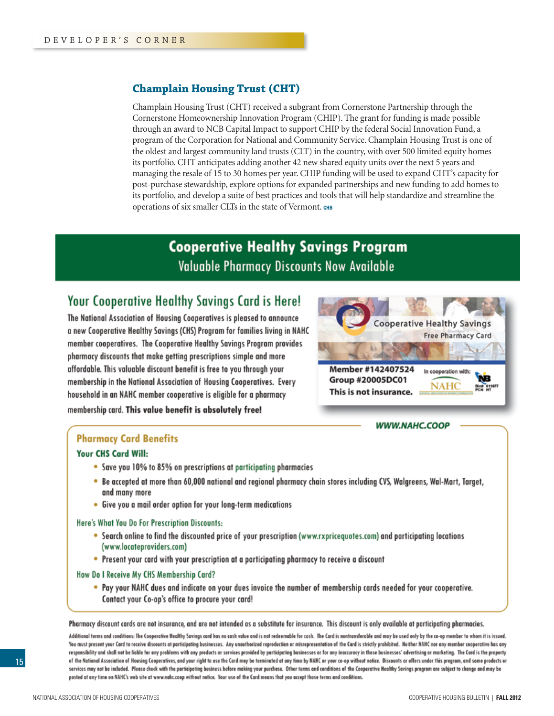#### **Champlain Housing Trust (CHT)**

Champlain Housing Trust (CHT) received a subgrant from Cornerstone Partnership through the Cornerstone Homeownership Innovation Program (CHIP). The grant for funding is made possible through an award to NCB Capital Impact to support CHIP by the federal Social Innovation Fund, a program of the Corporation for National and Community Service. Champlain Housing Trust is one of the oldest and largest community land trusts (CLT) in the country, with over 500 limited equity homes its portfolio. CHT anticipates adding another 42 new shared equity units over the next 5 years and managing the resale of 15 to 30 homes per year. CHIP funding will be used to expand CHT's capacity for post-purchase stewardship, explore options for expanded partnerships and new funding to add homes to its portfolio, and develop a suite of best practices and tools that will help standardize and streamline the operations of six smaller CLTs in the state of Vermont. **chb**

## **Cooperative Healthy Savings Program Valuable Pharmacy Discounts Now Available**

## Your Cooperative Healthy Savings Card is Here!

The National Association of Housing Cooperatives is pleased to announce a new Cooperative Healthy Savings (CHS) Program for families living in NAHC member cooperatives. The Cooperative Healthy Savings Program provides pharmacy discounts that make getting prescriptions simple and more affordable. This valuable discount benefit is free to you through your membership in the National Association of Housing Cooperatives. Every household in an NAHC member cooperative is eligible for a pharmacy membership card. This value benefit is absolutely free!



#### **WWW.NAHC.COOP**

#### **Pharmacy Card Benefits**

#### **Your CHS Card Will:**

- Save you 10% to 85% on prescriptions at participating pharmacies
- . Be accepted at more than 60,000 national and regional pharmacy chain stores including CVS, Walgreens, Wal-Mart, Target, and many more
- Give you a mail order option for your long-term medications

Here's What You Do For Prescription Discounts:

- . Search online to find the discounted price of your prescription (www.rxpricequotes.com) and participating locations (www.locateproviders.com)
- Present your card with your prescription at a participating pharmacy to receive a discount

#### How Do I Receive My CHS Membership Card?

. Pay your NAHC dues and indicate on your dues invoice the number of membership cards needed for your cooperative. Contact your Co-op's office to procure your card!

Pharmacy discount cards are not insurance, and are not intended as a substitute for insurance. This discount is only available at participating pharmacies.

Additional terms and conditions: The Cooperative Healthy Savings card has no cash value and is not redeemable for cash. The Card is nontransferable and may be used only by the co-op member to whom it is issued. You must present your Card to receive discounts at participating businesses. Any unauthorized reproduction or misrepresentation of the Card is strictly prohibited. Neither NAHC nor any member cooperative has any responsibility and shall not be liable for any problems with any products or services provided by participating businesses or for any inoccuracy in those businesses' advertising or marketing. The Card is the property of the National Association of Housing Cooperatives, and your right to use the Card may be terminated at any time by NAHC or your co-op without notice. Discounts or offers under this pregram, and some products or services may not be included. Please check with the participating business before making your purchase. Other terms and conditions of the Cooperative Healthy Savings program are subject to change and may be posted at any time on NAHC's web site at www.nahc.coop without notice. Your use of the Card means that you accept those terms and conditions.